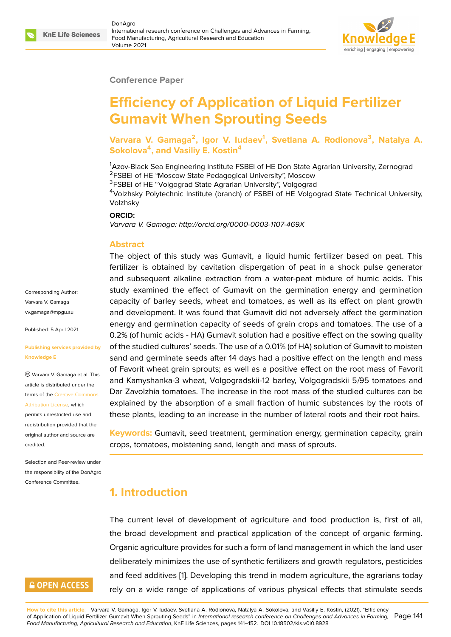#### **Conference Paper**

# **Efficiency of Application of Liquid Fertilizer Gumavit When Sprouting Seeds**

**Varvara V. Gamaga<sup>2</sup> , Igor V. Iudaev<sup>1</sup> , Svetlana A. Rodionova<sup>3</sup> , Natalya A. Sokolova<sup>4</sup> , and Vasiliy E. Kostin<sup>4</sup>**

<sup>1</sup>Azov-Black Sea Engineering Institute FSBEI of HE Don State Agrarian University, Zernograd <sup>2</sup>FSBEI of HE "Moscow State Pedagogical University", Moscow

<sup>3</sup>FSBEI of HE "Volgograd State Agrarian University", Volgograd

<sup>4</sup>Volzhsky Polytechnic Institute (branch) of FSBEI of HE Volgograd State Technical University, Volzhsky

#### **ORCID:**

*Varvara V. Gamaga: http://orcid.org/0000-0003-1107-469X*

#### **Abstract**

The object of this study was Gumavit, a liquid humic fertilizer based on peat. This fertilizer is obtained by cavitation dispergation of peat in a shock pulse generator and subsequent alkaline extraction from a water-peat mixture of humic acids. This study examined the effect of Gumavit on the germination energy and germination capacity of barley seeds, wheat and tomatoes, as well as its effect on plant growth and development. It was found that Gumavit did not adversely affect the germination energy and germination capacity of seeds of grain crops and tomatoes. The use of a 0.2% (of humic acids - HA) Gumavit solution had a positive effect on the sowing quality of the studied cultures' seeds. The use of a 0.01% (of HA) solution of Gumavit to moisten sand and germinate seeds after 14 days had a positive effect on the length and mass of Favorit wheat grain sprouts; as well as a positive effect on the root mass of Favorit and Kamyshanka-3 wheat, Volgogradskii-12 barley, Volgogradskii 5/95 tomatoes and Dar Zavolzhia tomatoes. The increase in the root mass of the studied cultures can be explained by the absorption of a small fraction of humic substances by the roots of these plants, leading to an increase in the number of lateral roots and their root hairs.

**Keywords:** Gumavit, seed treatment, germination energy, germination capacity, grain crops, tomatoes, moistening sand, length and mass of sprouts.

# **1. Introduction**

The current level of development of agriculture and food production is, first of all, the broad development and practical application of the concept of organic farming. Organic agriculture provides for such a form of land management in which the land user deliberately minimizes the use of synthetic fertilizers and growth regulators, pesticides and feed additives [1]. Developing this trend in modern agriculture, the agrarians today rely on a wide range of applications of various physical effects that stimulate seeds

Varvara V. Gamaga vv.gamaga@mpgu.su Published: 5 April 2021

Corresponding Author:

#### **[Publishing services p](mailto:vv.gamaga@mpgu.su)rovided by Knowledge E**

Varvara V. Gamaga et al. This article is distributed under the terms of the Creative Commons Attribution License, which

permits unrestricted use and redistribution provided that the original auth[or and source are](https://creativecommons.org/licenses/by/4.0/) [credited.](https://creativecommons.org/licenses/by/4.0/)

Selection and Peer-review under the responsibility of the DonAgro Conference Committee.

# **GOPEN ACCESS**

**How to cite this article**: Varvara V. Gamaga, Igor V. Iudaev, Svetlana A. Rodionova, Natalya A. Sokolova, and Vasiliy E. Kostin, (2021), "Efficiency of Application of Liquid Fertilizer Gumavit When Sprouting Se[ed](#page-10-0)s" in *International research conference on Challenges and Advances in Farming,* Page 141 *Food Manufacturing, Agricultural Research and Education*, KnE Life Sciences, pages 141–152. DOI 10.18502/kls.v0i0.8928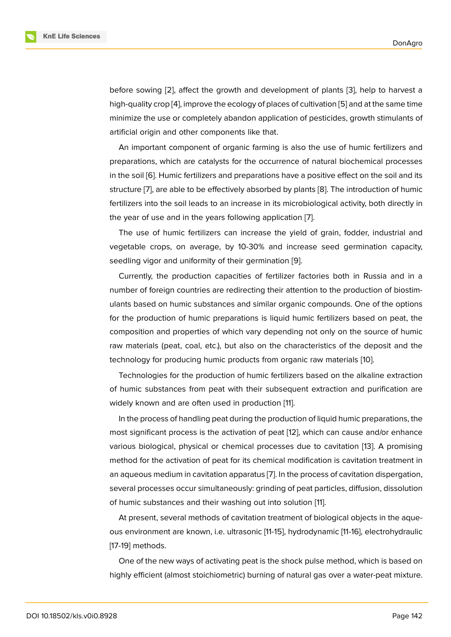before sowing [2], affect the growth and development of plants [3], help to harvest a high-quality crop [4], improve the ecology of places of cultivation [5] and at the same time minimize the use or completely abandon application of pesticides, growth stimulants of artificial origin a[nd](#page-10-1) other components like that.

An important c[om](#page-10-2)ponent of organic farming is also the use [of](#page-10-3) humic fertilizers and preparations, which are catalysts for the occurrence of natural biochemical processes in the soil [6]. Humic fertilizers and preparations have a positive effect on the soil and its structure [7], are able to be effectively absorbed by plants [8]. The introduction of humic fertilizers into the soil leads to an increase in its microbiological activity, both directly in the year o[f u](#page-10-4)se and in the years following application [7].

The us[e](#page-10-5) of humic fertilizers can increase the yield of [g](#page-11-0)rain, fodder, industrial and vegetable crops, on average, by 10-30% and increase seed germination capacity, seedling vigor and uniformity of their germination [9].

Currently, the production capacities of fertilizer factories both in Russia and in a number of foreign countries are redirecting their attention to the production of biostimulants based on humic substances and similar org[an](#page-11-1)ic compounds. One of the options for the production of humic preparations is liquid humic fertilizers based on peat, the composition and properties of which vary depending not only on the source of humic raw materials (peat, coal, etc.), but also on the characteristics of the deposit and the technology for producing humic products from organic raw materials [10].

Technologies for the production of humic fertilizers based on the alkaline extraction of humic substances from peat with their subsequent extraction and purification are widely known and are often used in production [11].

In the process of handling peat during the production of liquid humic preparations, the most significant process is the activation of peat [12], which can cause and/or enhance various biological, physical or chemical proces[ses](#page-11-2) due to cavitation [13]. A promising method for the activation of peat for its chemical modification is cavitation treatment in an aqueous medium in cavitation apparatus [7]. In [the](#page-11-3) process of cavitation dispergation, several processes occur simultaneously: grinding of peat particles, diff[usio](#page-11-4)n, dissolution of humic substances and their washing out into solution [11].

At present, several methods of cavitation [tre](#page-10-5)atment of biological objects in the aqueous environment are known, i.e. ultrasonic [11-15], hydrodynamic [11-16], electrohydraulic [17-19] methods.

One of the new ways of activating peat is the shock pulse method, which is based on highly efficient (almost stoichiometric) burning of natural gas over a water-peat mixture.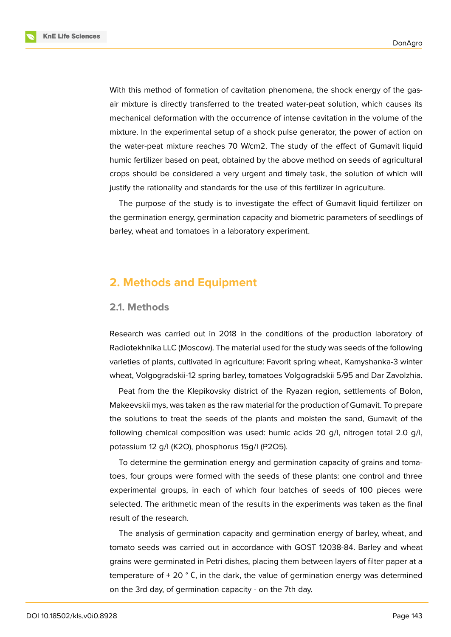**KnE Life Sciences** 



With this method of formation of cavitation phenomena, the shock energy of the gasair mixture is directly transferred to the treated water-peat solution, which causes its mechanical deformation with the occurrence of intense cavitation in the volume of the mixture. In the experimental setup of a shock pulse generator, the power of action on the water-peat mixture reaches 70 W/cm2. The study of the effect of Gumavit liquid humic fertilizer based on peat, obtained by the above method on seeds of agricultural crops should be considered a very urgent and timely task, the solution of which will justify the rationality and standards for the use of this fertilizer in agriculture.

The purpose of the study is to investigate the effect of Gumavit liquid fertilizer on the germination energy, germination capacity and biometric parameters of seedlings of barley, wheat and tomatoes in a laboratory experiment.

# **2. Methods and Equipment**

#### **2.1. Methods**

Research was carried out in 2018 in the conditions of the production laboratory of Radiotekhnika LLC (Moscow). The material used for the study was seeds of the following varieties of plants, cultivated in agriculture: Favorit spring wheat, Kamyshanka-3 winter wheat, Volgogradskii-12 spring barley, tomatoes Volgogradskii 5/95 and Dar Zavolzhia.

Peat from the the Klepikovsky district of the Ryazan region, settlements of Bolon, Makeevskii mys, was taken as the raw material for the production of Gumavit. To prepare the solutions to treat the seeds of the plants and moisten the sand, Gumavit of the following chemical composition was used: humic acids 20 g/l, nitrogen total 2.0 g/l, potassium 12 g/l (K2O), phosphorus 15g/l (P2O5).

To determine the germination energy and germination capacity of grains and tomatoes, four groups were formed with the seeds of these plants: one control and three experimental groups, in each of which four batches of seeds of 100 pieces were selected. The arithmetic mean of the results in the experiments was taken as the final result of the research.

The analysis of germination capacity and germination energy of barley, wheat, and tomato seeds was carried out in accordance with GOST 12038-84. Barley and wheat grains were germinated in Petri dishes, placing them between layers of filter paper at a temperature of  $+$  20 $\degree$  C, in the dark, the value of germination energy was determined on the 3rd day, of germination capacity - on the 7th day.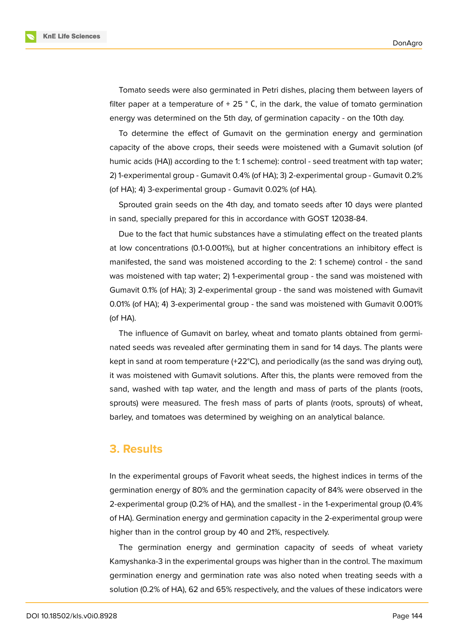**KnE Life Sciences** 

Tomato seeds were also germinated in Petri dishes, placing them between layers of filter paper at a temperature of  $+25$  ° C, in the dark, the value of tomato germination energy was determined on the 5th day, of germination capacity - on the 10th day.

To determine the effect of Gumavit on the germination energy and germination capacity of the above crops, their seeds were moistened with a Gumavit solution (of humic acids (HA)) according to the 1: 1 scheme): control - seed treatment with tap water; 2) 1-experimental group - Gumavit 0.4% (of HA); 3) 2-experimental group - Gumavit 0.2% (of HA); 4) 3-experimental group - Gumavit 0.02% (of HA).

Sprouted grain seeds on the 4th day, and tomato seeds after 10 days were planted in sand, specially prepared for this in accordance with GOST 12038-84.

Due to the fact that humic substances have a stimulating effect on the treated plants at low concentrations (0.1-0.001%), but at higher concentrations an inhibitory effect is manifested, the sand was moistened according to the 2: 1 scheme) control - the sand was moistened with tap water; 2) 1-experimental group - the sand was moistened with Gumavit 0.1% (of HA); 3) 2-experimental group - the sand was moistened with Gumavit 0.01% (of HA); 4) 3-experimental group - the sand was moistened with Gumavit 0.001% (of HA).

The influence of Gumavit on barley, wheat and tomato plants obtained from germinated seeds was revealed after germinating them in sand for 14 days. The plants were kept in sand at room temperature (+22°C), and periodically (as the sand was drying out), it was moistened with Gumavit solutions. After this, the plants were removed from the sand, washed with tap water, and the length and mass of parts of the plants (roots, sprouts) were measured. The fresh mass of parts of plants (roots, sprouts) of wheat, barley, and tomatoes was determined by weighing on an analytical balance.

# **3. Results**

In the experimental groups of Favorit wheat seeds, the highest indices in terms of the germination energy of 80% and the germination capacity of 84% were observed in the 2-experimental group (0.2% of HA), and the smallest - in the 1-experimental group (0.4% of HA). Germination energy and germination capacity in the 2-experimental group were higher than in the control group by 40 and 21%, respectively.

The germination energy and germination capacity of seeds of wheat variety Kamyshanka-3 in the experimental groups was higher than in the control. The maximum germination energy and germination rate was also noted when treating seeds with a solution (0.2% of HA), 62 and 65% respectively, and the values of these indicators were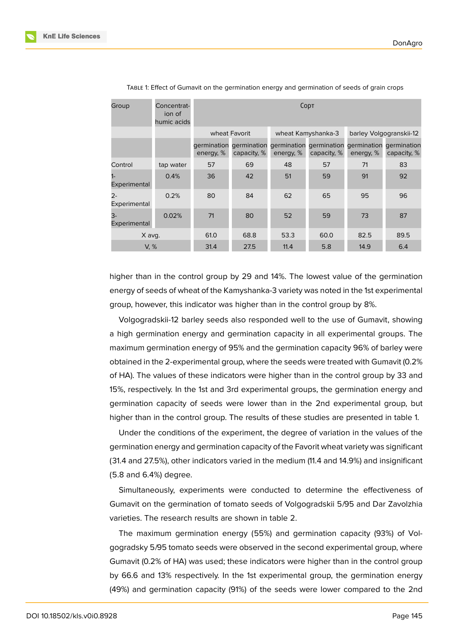| Group                 | Concentrat-<br>ion of<br>humic acids | CODT      |               |                    |                                                                                        |                         |             |
|-----------------------|--------------------------------------|-----------|---------------|--------------------|----------------------------------------------------------------------------------------|-------------------------|-------------|
|                       |                                      |           | wheat Favorit | wheat Kamyshanka-3 |                                                                                        | barley Volgogranskii-12 |             |
|                       |                                      | energy, % | capacity, %   | energy, %          | germination germination germination germination germination germination<br>capacity, % | energy, %               | capacity, % |
| Control               | tap water                            | 57        | 69            | 48                 | 57                                                                                     | 71                      | 83          |
| Experimental          | 0.4%                                 | 36        | 42            | 51                 | 59                                                                                     | 91                      | 92          |
| $2 -$<br>Experimental | 0.2%                                 | 80        | 84            | 62                 | 65                                                                                     | 95                      | 96          |
| 3-<br>Experimental    | 0.02%                                | 71        | 80            | 52                 | 59                                                                                     | 73                      | 87          |
| X avg.                |                                      | 61.0      | 68.8          | 53.3               | 60.0                                                                                   | 82.5                    | 89.5        |
| V, %                  |                                      | 31.4      | 27.5          | 11.4               | 5.8                                                                                    | 14.9                    | 6.4         |

TABLE 1: Effect of Gumavit on the germination energy and germination of seeds of grain crops

higher than in the control group by 29 and 14%. The lowest value of the germination energy of seeds of wheat of the Kamyshanka-3 variety was noted in the 1st experimental group, however, this indicator was higher than in the control group by 8%.

Volgogradskii-12 barley seeds also responded well to the use of Gumavit, showing a high germination energy and germination capacity in all experimental groups. The maximum germination energy of 95% and the germination capacity 96% of barley were obtained in the 2-experimental group, where the seeds were treated with Gumavit (0.2% of HA). The values of these indicators were higher than in the control group by 33 and 15%, respectively. In the 1st and 3rd experimental groups, the germination energy and germination capacity of seeds were lower than in the 2nd experimental group, but higher than in the control group. The results of these studies are presented in table 1.

Under the conditions of the experiment, the degree of variation in the values of the germination energy and germination capacity of the Favorit wheat variety was significant (31.4 and 27.5%), other indicators varied in the medium (11.4 and 14.9%) and insignificant (5.8 and 6.4%) degree.

Simultaneously, experiments were conducted to determine the effectiveness of Gumavit on the germination of tomato seeds of Volgogradskii 5/95 and Dar Zavolzhia varieties. The research results are shown in table 2.

The maximum germination energy (55%) and germination capacity (93%) of Volgogradsky 5/95 tomato seeds were observed in the second experimental group, where Gumavit (0.2% of HA) was used; these indicators were higher than in the control group by 66.6 and 13% respectively. In the 1st experimental group, the germination energy (49%) and germination capacity (91%) of the seeds were lower compared to the 2nd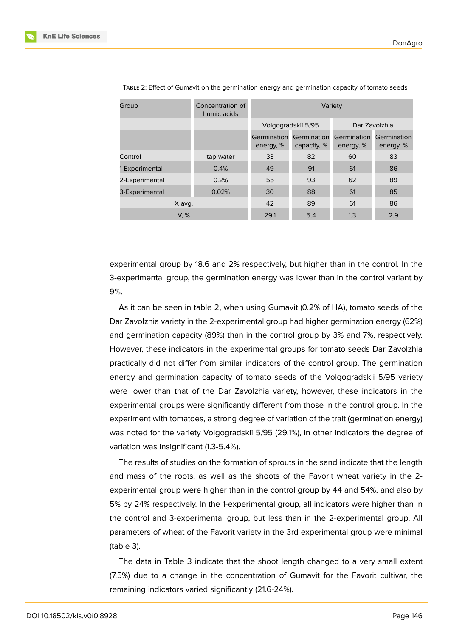| Group          | Concentration of<br>humic acids | Variety                  |                            |                          |                          |  |
|----------------|---------------------------------|--------------------------|----------------------------|--------------------------|--------------------------|--|
|                |                                 | Volgogradskii 5/95       |                            | Dar Zavolzhia            |                          |  |
|                |                                 | Germination<br>energy, % | Germination<br>capacity, % | Germination<br>energy, % | Germination<br>energy, % |  |
| Control        | tap water                       | 33                       | 82                         | 60                       | 83                       |  |
| 1-Experimental | 0.4%                            | 49                       | 91                         | 61                       | 86                       |  |
| 2-Experimental | 0.2%                            | 55                       | 93                         | 62                       | 89                       |  |
| 3-Experimental | 0.02%                           | 30                       | 88                         | 61                       | 85                       |  |
| X avg.         |                                 | 42                       | 89                         | 61                       | 86                       |  |
| V, %           |                                 | 29.1                     | 5.4                        | 1.3                      | 2.9                      |  |

TABLE 2: Effect of Gumavit on the germination energy and germination capacity of tomato seeds

experimental group by 18.6 and 2% respectively, but higher than in the control. In the 3-experimental group, the germination energy was lower than in the control variant by 9%.

As it can be seen in table 2, when using Gumavit (0.2% of HA), tomato seeds of the Dar Zavolzhia variety in the 2-experimental group had higher germination energy (62%) and germination capacity (89%) than in the control group by 3% and 7%, respectively. However, these indicators in the experimental groups for tomato seeds Dar Zavolzhia practically did not differ from similar indicators of the control group. The germination energy and germination capacity of tomato seeds of the Volgogradskii 5/95 variety were lower than that of the Dar Zavolzhia variety, however, these indicators in the experimental groups were significantly different from those in the control group. In the experiment with tomatoes, a strong degree of variation of the trait (germination energy) was noted for the variety Volgogradskii 5/95 (29.1%), in other indicators the degree of variation was insignificant (1.3-5.4%).

The results of studies on the formation of sprouts in the sand indicate that the length and mass of the roots, as well as the shoots of the Favorit wheat variety in the 2 experimental group were higher than in the control group by 44 and 54%, and also by 5% by 24% respectively. In the 1-experimental group, all indicators were higher than in the control and 3-experimental group, but less than in the 2-experimental group. All parameters of wheat of the Favorit variety in the 3rd experimental group were minimal (table 3).

The data in Table 3 indicate that the shoot length changed to a very small extent (7.5%) due to a change in the concentration of Gumavit for the Favorit cultivar, the remaining indicators varied significantly (21.6-24%).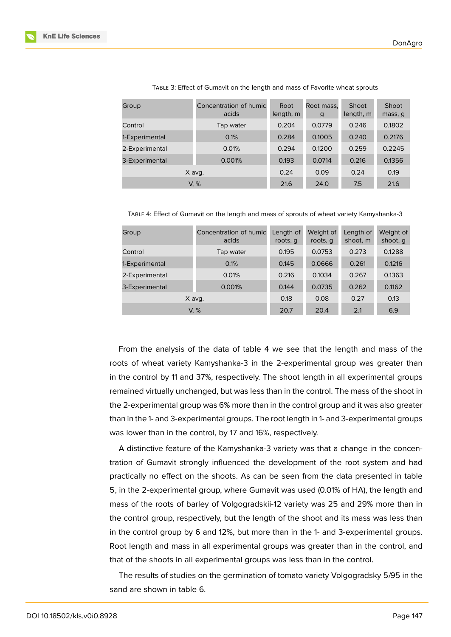| Group          | Concentration of humic<br>acids | Root<br>length, m | Root mass.<br>g | Shoot<br>length, m | Shoot<br>mass, q |
|----------------|---------------------------------|-------------------|-----------------|--------------------|------------------|
| Control        | Tap water                       | 0.204             | 0.0779          | 0.246              | 0.1802           |
| 1-Experimental | 0.1%                            | 0.284             | 0.1005          | 0.240              | 0.2176           |
| 2-Experimental | 0.01%                           | 0.294             | 0.1200          | 0.259              | 0.2245           |
| 3-Experimental | 0.001%                          | 0.193             | 0.0714          | 0.216              | 0.1356           |
| X avg.         |                                 | 0.24              | 0.09            | 0.24               | 0.19             |
| V. %           |                                 | 21.6              | 24.0            | 7.5                | 21.6             |

TABLE 3: Effect of Gumavit on the length and mass of Favorite wheat sprouts

TABLE 4: Effect of Gumavit on the length and mass of sprouts of wheat variety Kamyshanka-3

| Group          | Concentration of humic<br>acids | Length of<br>roots, q | Weight of<br>roots, q | Length of<br>shoot, m | Weight of<br>shoot, q |
|----------------|---------------------------------|-----------------------|-----------------------|-----------------------|-----------------------|
| Control        | Tap water                       | 0.195                 | 0.0753                | 0.273                 | 0.1288                |
| 1-Experimental | 0.1%                            | 0.145                 | 0.0666                | 0.261                 | 0.1216                |
| 2-Experimental | 0.01%                           | 0.216                 | 0.1034                | 0.267                 | 0.1363                |
| 3-Experimental | 0.001%                          | 0.144                 | 0.0735                | 0.262                 | 0.1162                |
| X avg.         |                                 | 0.18                  | 0.08                  | 0.27                  | 0.13                  |
| V. %           |                                 | 20.7                  | 20.4                  | 2.1                   | 6.9                   |

From the analysis of the data of table 4 we see that the length and mass of the roots of wheat variety Kamyshanka-3 in the 2-experimental group was greater than in the control by 11 and 37%, respectively. The shoot length in all experimental groups remained virtually unchanged, but was less than in the control. The mass of the shoot in the 2-experimental group was 6% more than in the control group and it was also greater than in the 1- and 3-experimental groups. The root length in 1- and 3-experimental groups was lower than in the control, by 17 and 16%, respectively.

A distinctive feature of the Kamyshanka-3 variety was that a change in the concentration of Gumavit strongly influenced the development of the root system and had practically no effect on the shoots. As can be seen from the data presented in table 5, in the 2-experimental group, where Gumavit was used (0.01% of HA), the length and mass of the roots of barley of Volgogradskii-12 variety was 25 and 29% more than in the control group, respectively, but the length of the shoot and its mass was less than in the control group by 6 and 12%, but more than in the 1- and 3-experimental groups. Root length and mass in all experimental groups was greater than in the control, and that of the shoots in all experimental groups was less than in the control.

The results of studies on the germination of tomato variety Volgogradsky 5/95 in the sand are shown in table 6.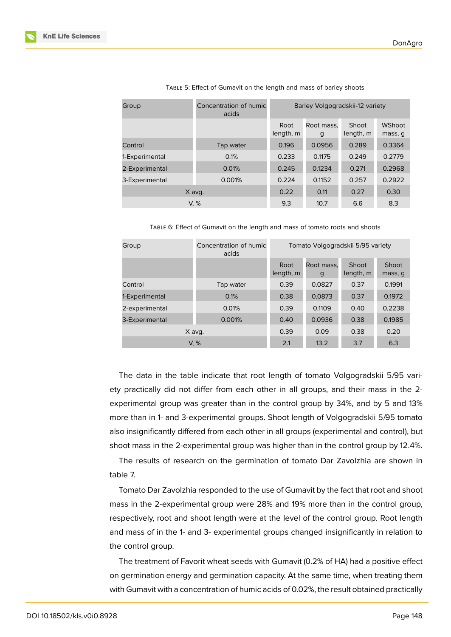| Group          | Concentration of humic<br>acids | Barley Volgogradskii-12 variety |                 |                    |                   |
|----------------|---------------------------------|---------------------------------|-----------------|--------------------|-------------------|
|                |                                 | Root<br>length, m               | Root mass.<br>g | Shoot<br>length, m | WShoot<br>mass, q |
| Control        | Tap water                       | 0.196                           | 0.0956          | 0.289              | 0.3364            |
| 1-Experimental | 0.1%                            | 0.233                           | 0.1175          | 0.249              | 0.2779            |
| 2-Experimental | 0.01%                           | 0.245                           | 0.1234          | 0.271              | 0.2968            |
| 3-Experimental | 0.001%                          | 0.224                           | 0.1152          | 0.257              | 0.2922            |
| X avg.         |                                 | 0.22                            | 0.11            | 0.27               | 0.30              |
| V, %           |                                 | 9.3                             | 10.7            | 6.6                | 8.3               |

TABLE 5: Effect of Gumavit on the length and mass of barley shoots

TABLE 6: Effect of Gumavit on the length and mass of tomato roots and shoots

| Concentration of humic<br>Group<br>acids |           | Tomato Volgogradskii 5/95 variety |                 |                    |                  |  |
|------------------------------------------|-----------|-----------------------------------|-----------------|--------------------|------------------|--|
|                                          |           | Root<br>length, m                 | Root mass.<br>g | Shoot<br>length, m | Shoot<br>mass, g |  |
| Control                                  | Tap water | 0.39                              | 0.0827          | 0.37               | 0.1991           |  |
| 1-Experimental                           | 0.1%      | 0.38                              | 0.0873          | 0.37               | 0.1972           |  |
| 2-experimental                           | 0.01%     | 0.39                              | 0.1109          | 0.40               | 0.2238           |  |
| 3-Experimental                           | 0.001%    | 0.40                              | 0.0936          | 0.38               | 0.1985           |  |
| X avg.                                   |           | 0.39                              | 0.09            | 0.38               | 0.20             |  |
| V. %                                     |           | 2.1                               | 13.2            | 3.7                | 6.3              |  |

The data in the table indicate that root length of tomato Volgogradskii 5/95 variety practically did not differ from each other in all groups, and their mass in the 2 experimental group was greater than in the control group by 34%, and by 5 and 13% more than in 1- and 3-experimental groups. Shoot length of Volgogradskii 5/95 tomato also insignificantly differed from each other in all groups (experimental and control), but shoot mass in the 2-experimental group was higher than in the control group by 12.4%.

The results of research on the germination of tomato Dar Zavolzhia are shown in table 7.

Tomato Dar Zavolzhia responded to the use of Gumavit by the fact that root and shoot mass in the 2-experimental group were 28% and 19% more than in the control group, respectively, root and shoot length were at the level of the control group. Root length and mass of in the 1- and 3- experimental groups changed insignificantly in relation to the control group.

The treatment of Favorit wheat seeds with Gumavit (0.2% of HA) had a positive effect on germination energy and germination capacity. At the same time, when treating them with Gumavit with a concentration of humic acids of 0.02%, the result obtained practically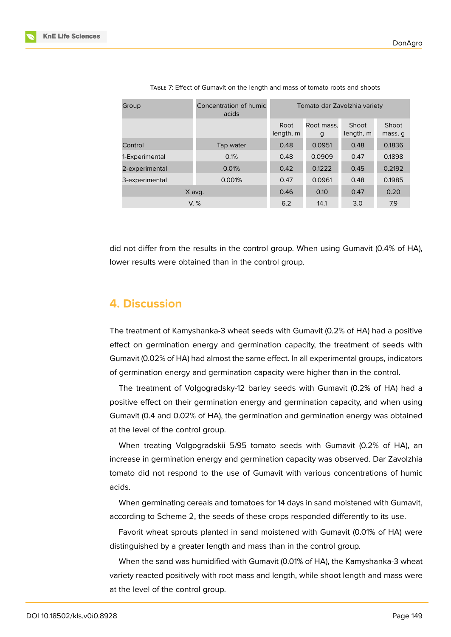| Group          | Concentration of humic<br>acids | Tomato dar Zavolzhia variety |                 |                    |                  |
|----------------|---------------------------------|------------------------------|-----------------|--------------------|------------------|
|                |                                 | Root<br>length, m            | Root mass.<br>g | Shoot<br>length, m | Shoot<br>mass, q |
| Control        | Tap water                       | 0.48                         | 0.0951          | 0.48               | 0.1836           |
| 1-Experimental | 0.1%                            | 0.48                         | 0.0909          | 0.47               | 0.1898           |
| 2-experimental | 0.01%                           | 0.42                         | 0.1222          | 0.45               | 0.2192           |
| 3-experimental | 0.001%                          | 0.47                         | 0.0961          | 0.48               | 0.1985           |
| X avg.         |                                 | 0.46                         | 0.10            | 0.47               | 0.20             |
| V. %           |                                 | 6.2                          | 14.1            | 3.0                | 7.9              |

TABLE 7: Effect of Gumavit on the length and mass of tomato roots and shoots

did not differ from the results in the control group. When using Gumavit (0.4% of HA), lower results were obtained than in the control group.

# **4. Discussion**

The treatment of Kamyshanka-3 wheat seeds with Gumavit (0.2% of HA) had a positive effect on germination energy and germination capacity, the treatment of seeds with Gumavit (0.02% of HA) had almost the same effect. In all experimental groups, indicators of germination energy and germination capacity were higher than in the control.

The treatment of Volgogradsky-12 barley seeds with Gumavit (0.2% of HA) had a positive effect on their germination energy and germination capacity, and when using Gumavit (0.4 and 0.02% of HA), the germination and germination energy was obtained at the level of the control group.

When treating Volgogradskii 5/95 tomato seeds with Gumavit (0.2% of HA), an increase in germination energy and germination capacity was observed. Dar Zavolzhia tomato did not respond to the use of Gumavit with various concentrations of humic acids.

When germinating cereals and tomatoes for 14 days in sand moistened with Gumavit, according to Scheme 2, the seeds of these crops responded differently to its use.

Favorit wheat sprouts planted in sand moistened with Gumavit (0.01% of HA) were distinguished by a greater length and mass than in the control group.

When the sand was humidified with Gumavit (0.01% of HA), the Kamyshanka-3 wheat variety reacted positively with root mass and length, while shoot length and mass were at the level of the control group.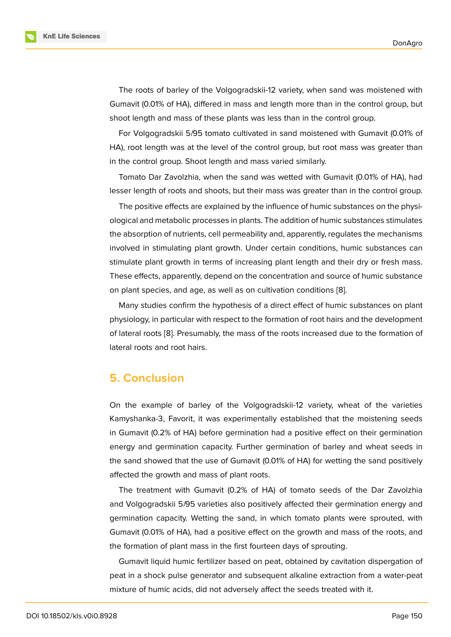The roots of barley of the Volgogradskii-12 variety, when sand was moistened with Gumavit (0.01% of HA), differed in mass and length more than in the control group, but shoot length and mass of these plants was less than in the control group.

For Volgogradskii 5/95 tomato cultivated in sand moistened with Gumavit (0.01% of HA), root length was at the level of the control group, but root mass was greater than in the control group. Shoot length and mass varied similarly.

Tomato Dar Zavolzhia, when the sand was wetted with Gumavit (0.01% of HA), had lesser length of roots and shoots, but their mass was greater than in the control group.

The positive effects are explained by the influence of humic substances on the physiological and metabolic processes in plants. The addition of humic substances stimulates the absorption of nutrients, cell permeability and, apparently, regulates the mechanisms involved in stimulating plant growth. Under certain conditions, humic substances can stimulate plant growth in terms of increasing plant length and their dry or fresh mass. These effects, apparently, depend on the concentration and source of humic substance on plant species, and age, as well as on cultivation conditions [8].

Many studies confirm the hypothesis of a direct effect of humic substances on plant physiology, in particular with respect to the formation of root hairs and the development of lateral roots [8]. Presumably, the mass of the roots increased [d](#page-11-0)ue to the formation of lateral roots and root hairs.

# **5. Conclu[sio](#page-11-0)n**

On the example of barley of the Volgogradskii-12 variety, wheat of the varieties Kamyshanka-3, Favorit, it was experimentally established that the moistening seeds in Gumavit (0.2% of HA) before germination had a positive effect on their germination energy and germination capacity. Further germination of barley and wheat seeds in the sand showed that the use of Gumavit (0.01% of HA) for wetting the sand positively affected the growth and mass of plant roots.

The treatment with Gumavit (0.2% of HA) of tomato seeds of the Dar Zavolzhia and Volgogradskii 5/95 varieties also positively affected their germination energy and germination capacity. Wetting the sand, in which tomato plants were sprouted, with Gumavit (0.01% of HA), had a positive effect on the growth and mass of the roots, and the formation of plant mass in the first fourteen days of sprouting.

Gumavit liquid humic fertilizer based on peat, obtained by cavitation dispergation of peat in a shock pulse generator and subsequent alkaline extraction from a water-peat mixture of humic acids, did not adversely affect the seeds treated with it.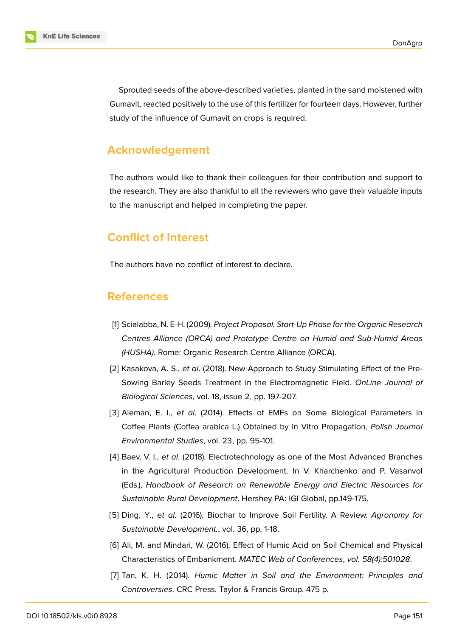Sprouted seeds of the above-described varieties, planted in the sand moistened with Gumavit, reacted positively to the use of this fertilizer for fourteen days. However, further study of the influence of Gumavit on crops is required.

### **Acknowledgement**

The authors would like to thank their colleagues for their contribution and support to the research. They are also thankful to all the reviewers who gave their valuable inputs to the manuscript and helped in completing the paper.

# **Conflict of Interest**

The authors have no conflict of interest to declare.

# **References**

- <span id="page-10-0"></span>[1] Scialabba, N. E-H. (2009). *Project Proposal. Start-Up Phase for the Organic Research Centres Alliance (ORCA) and Prototype Centre on Humid and Sub-Humid Areas (HUSHA)*. Rome: Organic Research Centre Alliance (ORCA).
- <span id="page-10-1"></span>[2] Kasakova, A. S., *et al*. (2018). New Approach to Study Stimulating Effect of the Pre-Sowing Barley Seeds Treatment in the Electromagnetic Field. *OnLine Journal of Biological Sciences*, vol. 18, issue 2, pp. 197-207.
- [3] Aleman, E. I., *et al*. (2014). Effects of EMFs on Some Biological Parameters in Coffee Plants (Coffea arabica L.) Obtained by in Vitro Propagation. *Polish Journal Environmental Studies*, vol. 23, рp. 95-101.
- <span id="page-10-2"></span>[4] Baev, V. I., *et al*. (2018). Electrotechnology as one of the Most Advanced Branches in the Agricultural Production Development. In V. Kharchenko and P. Vasanvol (Eds.), *Handbook of Research on Renewable Energy and Electric Resources for Sustainable Rural Development*. Hershey PA: IGI Global, pp.149-175.
- <span id="page-10-3"></span>[5] Ding, Y., *et al*. (2016). Biochar to Improve Soil Fertility. A Review. *Agronomy for Sustainable Development.*, vol. 36, pp. 1-18.
- <span id="page-10-4"></span>[6] Ali, M. and Mindari, W. (2016). Effect of Humic Acid on Soil Chemical and Physical Characteristics of Embankment. *MATEC Web of Conferences*, *vol. 58(4):501028*.
- <span id="page-10-5"></span>[7] Tan, K. H. (2014). *Humic Matter in Soil and the Environment: Principles and Controversies*. CRC Press. Taylor & Francis Group. 475 p.